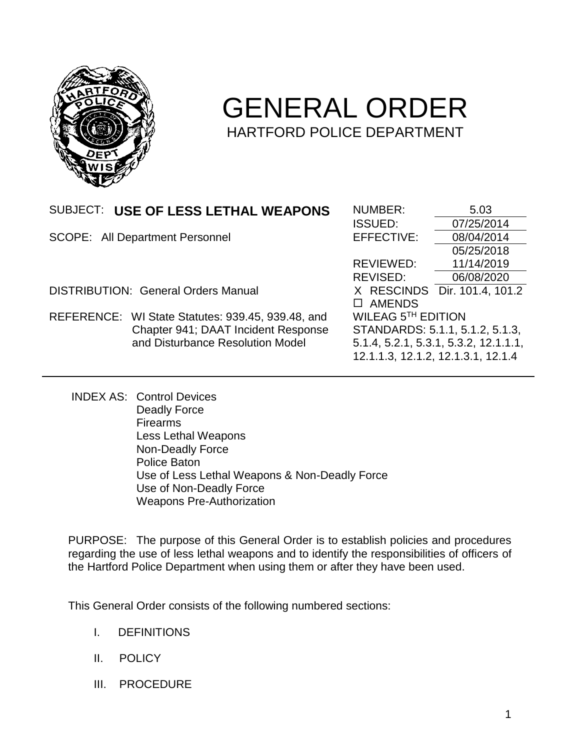

## GENERAL ORDER HARTFORD POLICE DEPARTMENT

| USE OF LESS LETHAL WEAPONS<br>SUBJECT:            | NUMBER:            | 5.03                                  |
|---------------------------------------------------|--------------------|---------------------------------------|
|                                                   | <b>ISSUED:</b>     | 07/25/2014                            |
| <b>SCOPE: All Department Personnel</b>            | EFFECTIVE:         | 08/04/2014                            |
|                                                   |                    | 05/25/2018                            |
|                                                   | <b>REVIEWED:</b>   | 11/14/2019                            |
|                                                   | REVISED:           | 06/08/2020                            |
| <b>DISTRIBUTION: General Orders Manual</b>        | X RESCINDS         | Dir. 101.4, 101.2                     |
|                                                   | <b>AMENDS</b>      |                                       |
| REFERENCE: WI State Statutes: 939.45, 939.48, and | WILEAG 5TH EDITION |                                       |
| Chapter 941; DAAT Incident Response               |                    | STANDARDS: 5.1.1, 5.1.2, 5.1.3,       |
| and Disturbance Resolution Model                  |                    | 5.1.4, 5.2.1, 5.3.1, 5.3.2, 12.1.1.1, |
|                                                   |                    | 12.1.1.3, 12.1.2, 12.1.3.1, 12.1.4    |

INDEX AS: Control Devices Deadly Force Firearms Less Lethal Weapons Non-Deadly Force Police Baton Use of Less Lethal Weapons & Non-Deadly Force Use of Non-Deadly Force Weapons Pre-Authorization

PURPOSE: The purpose of this General Order is to establish policies and procedures regarding the use of less lethal weapons and to identify the responsibilities of officers of the Hartford Police Department when using them or after they have been used.

This General Order consists of the following numbered sections:

- I. DEFINITIONS
- II. POLICY
- III. PROCEDURE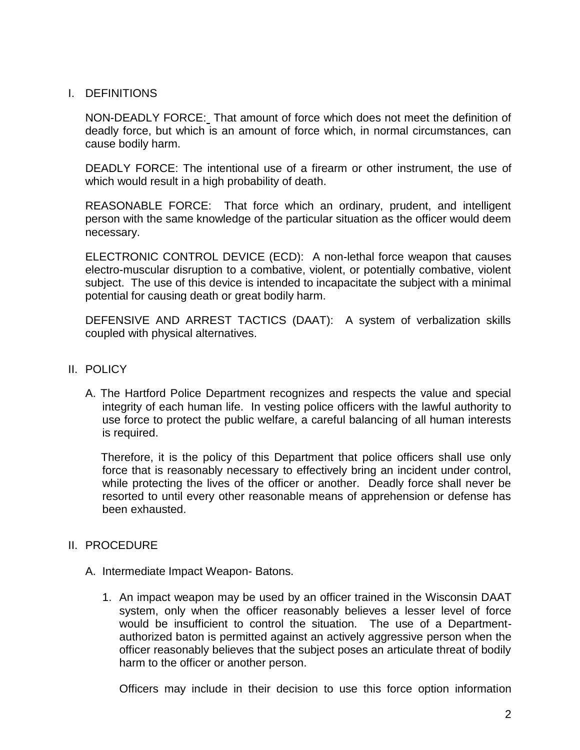## I. DEFINITIONS

NON-DEADLY FORCE: That amount of force which does not meet the definition of deadly force, but which is an amount of force which, in normal circumstances, can cause bodily harm.

DEADLY FORCE: The intentional use of a firearm or other instrument, the use of which would result in a high probability of death.

REASONABLE FORCE: That force which an ordinary, prudent, and intelligent person with the same knowledge of the particular situation as the officer would deem necessary.

ELECTRONIC CONTROL DEVICE (ECD): A non-lethal force weapon that causes electro-muscular disruption to a combative, violent, or potentially combative, violent subject. The use of this device is intended to incapacitate the subject with a minimal potential for causing death or great bodily harm.

DEFENSIVE AND ARREST TACTICS (DAAT): A system of verbalization skills coupled with physical alternatives.

- II. POLICY
	- A. The Hartford Police Department recognizes and respects the value and special integrity of each human life. In vesting police officers with the lawful authority to use force to protect the public welfare, a careful balancing of all human interests is required.

 Therefore, it is the policy of this Department that police officers shall use only force that is reasonably necessary to effectively bring an incident under control, while protecting the lives of the officer or another. Deadly force shall never be resorted to until every other reasonable means of apprehension or defense has been exhausted.

## II. PROCEDURE

- A. Intermediate Impact Weapon- Batons.
	- 1. An impact weapon may be used by an officer trained in the Wisconsin DAAT system, only when the officer reasonably believes a lesser level of force would be insufficient to control the situation. The use of a Departmentauthorized baton is permitted against an actively aggressive person when the officer reasonably believes that the subject poses an articulate threat of bodily harm to the officer or another person.

Officers may include in their decision to use this force option information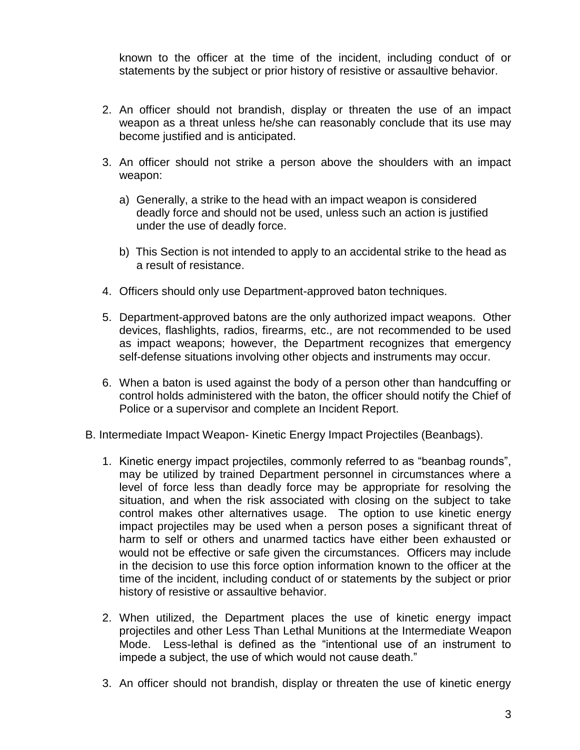known to the officer at the time of the incident, including conduct of or statements by the subject or prior history of resistive or assaultive behavior.

- 2. An officer should not brandish, display or threaten the use of an impact weapon as a threat unless he/she can reasonably conclude that its use may become justified and is anticipated.
- 3. An officer should not strike a person above the shoulders with an impact weapon:
	- a) Generally, a strike to the head with an impact weapon is considered deadly force and should not be used, unless such an action is justified under the use of deadly force.
	- b) This Section is not intended to apply to an accidental strike to the head as a result of resistance.
- 4. Officers should only use Department-approved baton techniques.
- 5. Department-approved batons are the only authorized impact weapons. Other devices, flashlights, radios, firearms, etc., are not recommended to be used as impact weapons; however, the Department recognizes that emergency self-defense situations involving other objects and instruments may occur.
- 6. When a baton is used against the body of a person other than handcuffing or control holds administered with the baton, the officer should notify the Chief of Police or a supervisor and complete an Incident Report.

B. Intermediate Impact Weapon- Kinetic Energy Impact Projectiles (Beanbags).

- 1. Kinetic energy impact projectiles, commonly referred to as "beanbag rounds", may be utilized by trained Department personnel in circumstances where a level of force less than deadly force may be appropriate for resolving the situation, and when the risk associated with closing on the subject to take control makes other alternatives usage. The option to use kinetic energy impact projectiles may be used when a person poses a significant threat of harm to self or others and unarmed tactics have either been exhausted or would not be effective or safe given the circumstances. Officers may include in the decision to use this force option information known to the officer at the time of the incident, including conduct of or statements by the subject or prior history of resistive or assaultive behavior.
- 2. When utilized, the Department places the use of kinetic energy impact projectiles and other Less Than Lethal Munitions at the Intermediate Weapon Mode. Less-lethal is defined as the "intentional use of an instrument to impede a subject, the use of which would not cause death."
- 3. An officer should not brandish, display or threaten the use of kinetic energy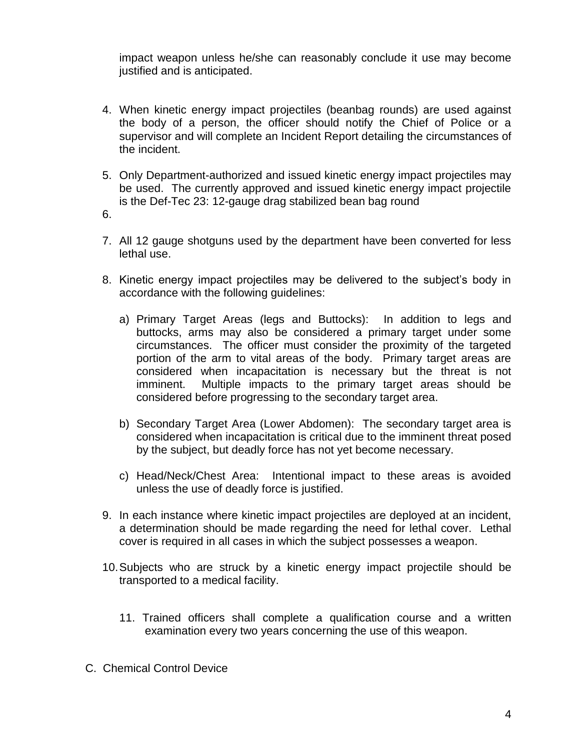impact weapon unless he/she can reasonably conclude it use may become justified and is anticipated.

- 4. When kinetic energy impact projectiles (beanbag rounds) are used against the body of a person, the officer should notify the Chief of Police or a supervisor and will complete an Incident Report detailing the circumstances of the incident.
- 5. Only Department-authorized and issued kinetic energy impact projectiles may be used. The currently approved and issued kinetic energy impact projectile is the Def-Tec 23: 12-gauge drag stabilized bean bag round
- 6.
- 7. All 12 gauge shotguns used by the department have been converted for less lethal use.
- 8. Kinetic energy impact projectiles may be delivered to the subject's body in accordance with the following guidelines:
	- a) Primary Target Areas (legs and Buttocks): In addition to legs and buttocks, arms may also be considered a primary target under some circumstances. The officer must consider the proximity of the targeted portion of the arm to vital areas of the body. Primary target areas are considered when incapacitation is necessary but the threat is not imminent. Multiple impacts to the primary target areas should be considered before progressing to the secondary target area.
	- b) Secondary Target Area (Lower Abdomen): The secondary target area is considered when incapacitation is critical due to the imminent threat posed by the subject, but deadly force has not yet become necessary.
	- c) Head/Neck/Chest Area: Intentional impact to these areas is avoided unless the use of deadly force is justified.
- 9. In each instance where kinetic impact projectiles are deployed at an incident, a determination should be made regarding the need for lethal cover. Lethal cover is required in all cases in which the subject possesses a weapon.
- 10.Subjects who are struck by a kinetic energy impact projectile should be transported to a medical facility.
	- 11. Trained officers shall complete a qualification course and a written examination every two years concerning the use of this weapon.
- C. Chemical Control Device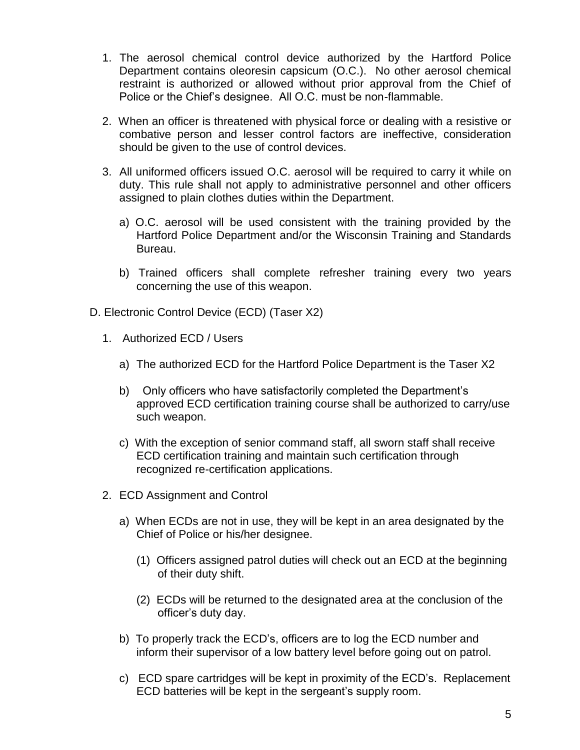- 1. The aerosol chemical control device authorized by the Hartford Police Department contains oleoresin capsicum (O.C.). No other aerosol chemical restraint is authorized or allowed without prior approval from the Chief of Police or the Chief's designee. All O.C. must be non-flammable.
- 2. When an officer is threatened with physical force or dealing with a resistive or combative person and lesser control factors are ineffective, consideration should be given to the use of control devices.
- 3. All uniformed officers issued O.C. aerosol will be required to carry it while on duty. This rule shall not apply to administrative personnel and other officers assigned to plain clothes duties within the Department.
	- a) O.C. aerosol will be used consistent with the training provided by the Hartford Police Department and/or the Wisconsin Training and Standards Bureau.
	- b) Trained officers shall complete refresher training every two years concerning the use of this weapon.
- D. Electronic Control Device (ECD) (Taser X2)
	- 1. Authorized ECD / Users
		- a) The authorized ECD for the Hartford Police Department is the Taser X2
		- b) Only officers who have satisfactorily completed the Department's approved ECD certification training course shall be authorized to carry/use such weapon.
		- c) With the exception of senior command staff, all sworn staff shall receive ECD certification training and maintain such certification through recognized re-certification applications.
	- 2. ECD Assignment and Control
		- a) When ECDs are not in use, they will be kept in an area designated by the Chief of Police or his/her designee.
			- (1) Officers assigned patrol duties will check out an ECD at the beginning of their duty shift.
			- (2) ECDs will be returned to the designated area at the conclusion of the officer's duty day.
		- b) To properly track the ECD's, officers are to log the ECD number and inform their supervisor of a low battery level before going out on patrol.
		- c) ECD spare cartridges will be kept in proximity of the ECD's. Replacement ECD batteries will be kept in the sergeant's supply room.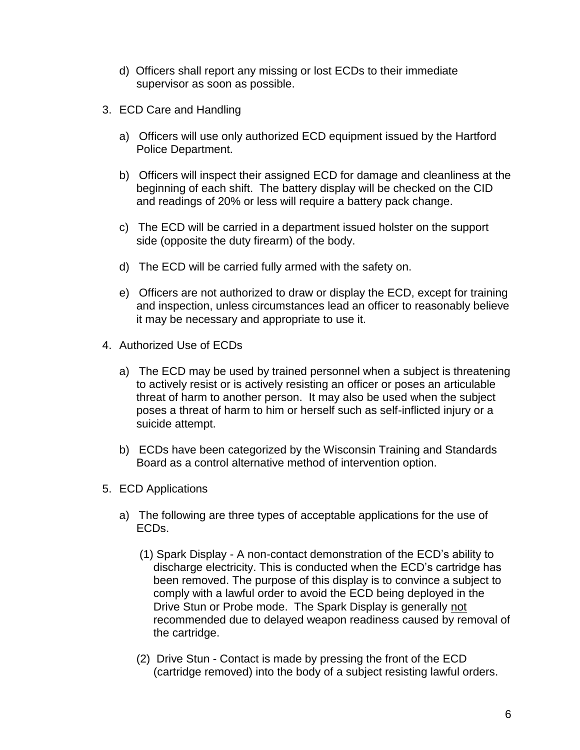- d) Officers shall report any missing or lost ECDs to their immediate supervisor as soon as possible.
- 3. ECD Care and Handling
	- a) Officers will use only authorized ECD equipment issued by the Hartford Police Department.
	- b) Officers will inspect their assigned ECD for damage and cleanliness at the beginning of each shift. The battery display will be checked on the CID and readings of 20% or less will require a battery pack change.
	- c) The ECD will be carried in a department issued holster on the support side (opposite the duty firearm) of the body.
	- d) The ECD will be carried fully armed with the safety on.
	- e) Officers are not authorized to draw or display the ECD, except for training and inspection, unless circumstances lead an officer to reasonably believe it may be necessary and appropriate to use it.
- 4. Authorized Use of ECDs
	- a) The ECD may be used by trained personnel when a subject is threatening to actively resist or is actively resisting an officer or poses an articulable threat of harm to another person. It may also be used when the subject poses a threat of harm to him or herself such as self-inflicted injury or a suicide attempt.
	- b) ECDs have been categorized by the Wisconsin Training and Standards Board as a control alternative method of intervention option.
- 5. ECD Applications
	- a) The following are three types of acceptable applications for the use of ECDs.
		- (1) Spark Display A non-contact demonstration of the ECD's ability to discharge electricity. This is conducted when the ECD's cartridge has been removed. The purpose of this display is to convince a subject to comply with a lawful order to avoid the ECD being deployed in the Drive Stun or Probe mode. The Spark Display is generally not recommended due to delayed weapon readiness caused by removal of the cartridge.
		- (2) Drive Stun Contact is made by pressing the front of the ECD (cartridge removed) into the body of a subject resisting lawful orders.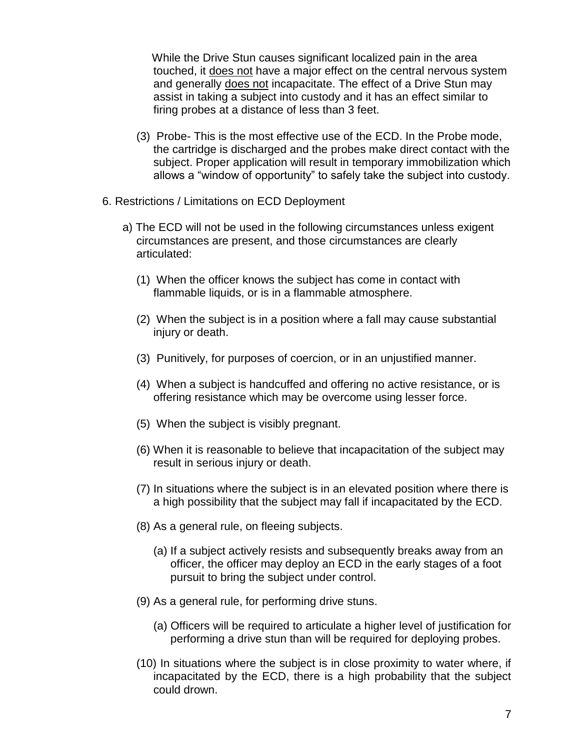While the Drive Stun causes significant localized pain in the area touched, it does not have a major effect on the central nervous system and generally does not incapacitate. The effect of a Drive Stun may assist in taking a subject into custody and it has an effect similar to firing probes at a distance of less than 3 feet.

- (3) Probe- This is the most effective use of the ECD. In the Probe mode, the cartridge is discharged and the probes make direct contact with the subject. Proper application will result in temporary immobilization which allows a "window of opportunity" to safely take the subject into custody.
- 6. Restrictions / Limitations on ECD Deployment
	- a) The ECD will not be used in the following circumstances unless exigent circumstances are present, and those circumstances are clearly articulated:
		- (1) When the officer knows the subject has come in contact with flammable liquids, or is in a flammable atmosphere.
		- (2) When the subject is in a position where a fall may cause substantial injury or death.
		- (3) Punitively, for purposes of coercion, or in an unjustified manner.
		- (4) When a subject is handcuffed and offering no active resistance, or is offering resistance which may be overcome using lesser force.
		- (5) When the subject is visibly pregnant.
		- (6) When it is reasonable to believe that incapacitation of the subject may result in serious injury or death.
		- (7) In situations where the subject is in an elevated position where there is a high possibility that the subject may fall if incapacitated by the ECD.
		- (8) As a general rule, on fleeing subjects.
			- (a) If a subject actively resists and subsequently breaks away from an officer, the officer may deploy an ECD in the early stages of a foot pursuit to bring the subject under control.
		- (9) As a general rule, for performing drive stuns.
			- (a) Officers will be required to articulate a higher level of justification for performing a drive stun than will be required for deploying probes.
		- (10) In situations where the subject is in close proximity to water where, if incapacitated by the ECD, there is a high probability that the subject could drown.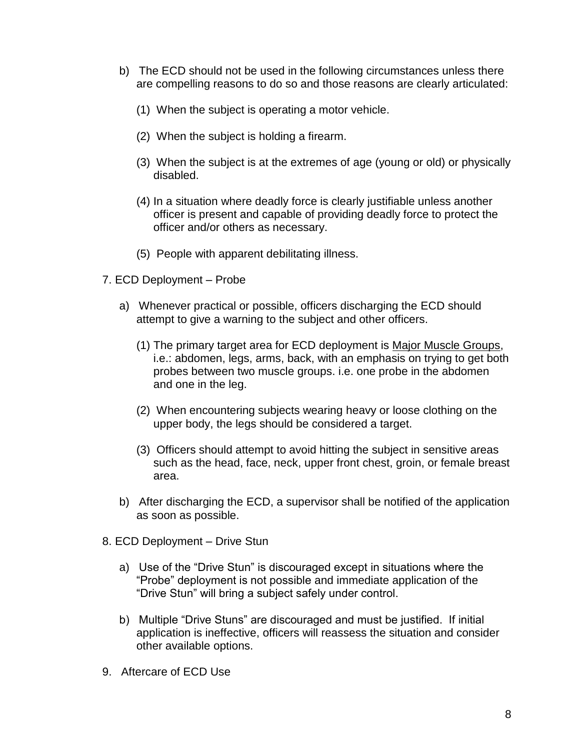- b) The ECD should not be used in the following circumstances unless there are compelling reasons to do so and those reasons are clearly articulated:
	- (1) When the subject is operating a motor vehicle.
	- (2) When the subject is holding a firearm.
	- (3) When the subject is at the extremes of age (young or old) or physically disabled.
	- (4) In a situation where deadly force is clearly justifiable unless another officer is present and capable of providing deadly force to protect the officer and/or others as necessary.
	- (5) People with apparent debilitating illness.
- 7. ECD Deployment Probe
	- a) Whenever practical or possible, officers discharging the ECD should attempt to give a warning to the subject and other officers.
		- (1) The primary target area for ECD deployment is Major Muscle Groups, i.e.: abdomen, legs, arms, back, with an emphasis on trying to get both probes between two muscle groups. i.e. one probe in the abdomen and one in the leg.
		- (2) When encountering subjects wearing heavy or loose clothing on the upper body, the legs should be considered a target.
		- (3) Officers should attempt to avoid hitting the subject in sensitive areas such as the head, face, neck, upper front chest, groin, or female breast area.
	- b) After discharging the ECD, a supervisor shall be notified of the application as soon as possible.
- 8. ECD Deployment Drive Stun
	- a) Use of the "Drive Stun" is discouraged except in situations where the "Probe" deployment is not possible and immediate application of the "Drive Stun" will bring a subject safely under control.
	- b) Multiple "Drive Stuns" are discouraged and must be justified. If initial application is ineffective, officers will reassess the situation and consider other available options.
- 9. Aftercare of ECD Use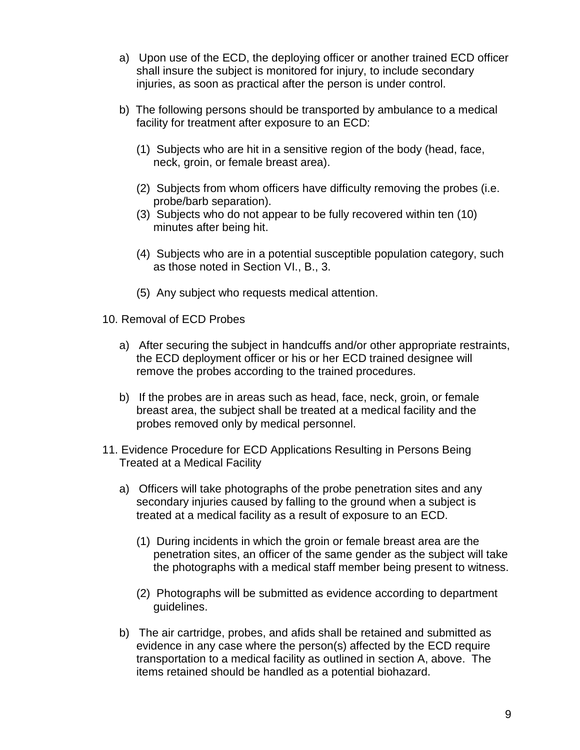- a) Upon use of the ECD, the deploying officer or another trained ECD officer shall insure the subject is monitored for injury, to include secondary injuries, as soon as practical after the person is under control.
- b) The following persons should be transported by ambulance to a medical facility for treatment after exposure to an ECD:
	- (1) Subjects who are hit in a sensitive region of the body (head, face, neck, groin, or female breast area).
	- (2) Subjects from whom officers have difficulty removing the probes (i.e. probe/barb separation).
	- (3) Subjects who do not appear to be fully recovered within ten (10) minutes after being hit.
	- (4) Subjects who are in a potential susceptible population category, such as those noted in Section VI., B., 3.
	- (5) Any subject who requests medical attention.
- 10. Removal of ECD Probes
	- a) After securing the subject in handcuffs and/or other appropriate restraints, the ECD deployment officer or his or her ECD trained designee will remove the probes according to the trained procedures.
	- b) If the probes are in areas such as head, face, neck, groin, or female breast area, the subject shall be treated at a medical facility and the probes removed only by medical personnel.
- 11. Evidence Procedure for ECD Applications Resulting in Persons Being Treated at a Medical Facility
	- a) Officers will take photographs of the probe penetration sites and any secondary injuries caused by falling to the ground when a subject is treated at a medical facility as a result of exposure to an ECD.
		- (1) During incidents in which the groin or female breast area are the penetration sites, an officer of the same gender as the subject will take the photographs with a medical staff member being present to witness.
		- (2) Photographs will be submitted as evidence according to department guidelines.
	- b) The air cartridge, probes, and afids shall be retained and submitted as evidence in any case where the person(s) affected by the ECD require transportation to a medical facility as outlined in section A, above. The items retained should be handled as a potential biohazard.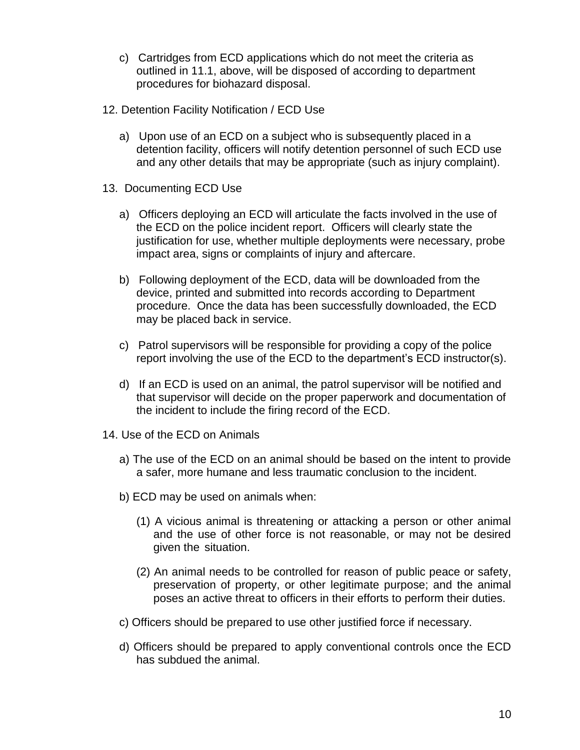- c) Cartridges from ECD applications which do not meet the criteria as outlined in 11.1, above, will be disposed of according to department procedures for biohazard disposal.
- 12. Detention Facility Notification / ECD Use
	- a) Upon use of an ECD on a subject who is subsequently placed in a detention facility, officers will notify detention personnel of such ECD use and any other details that may be appropriate (such as injury complaint).
- 13. Documenting ECD Use
	- a) Officers deploying an ECD will articulate the facts involved in the use of the ECD on the police incident report. Officers will clearly state the justification for use, whether multiple deployments were necessary, probe impact area, signs or complaints of injury and aftercare.
	- b) Following deployment of the ECD, data will be downloaded from the device, printed and submitted into records according to Department procedure. Once the data has been successfully downloaded, the ECD may be placed back in service.
	- c) Patrol supervisors will be responsible for providing a copy of the police report involving the use of the ECD to the department's ECD instructor(s).
	- d) If an ECD is used on an animal, the patrol supervisor will be notified and that supervisor will decide on the proper paperwork and documentation of the incident to include the firing record of the ECD.
- 14. Use of the ECD on Animals
	- a) The use of the ECD on an animal should be based on the intent to provide a safer, more humane and less traumatic conclusion to the incident.
	- b) ECD may be used on animals when:
		- (1) A vicious animal is threatening or attacking a person or other animal and the use of other force is not reasonable, or may not be desired given the situation.
		- (2) An animal needs to be controlled for reason of public peace or safety, preservation of property, or other legitimate purpose; and the animal poses an active threat to officers in their efforts to perform their duties.
	- c) Officers should be prepared to use other justified force if necessary.
	- d) Officers should be prepared to apply conventional controls once the ECD has subdued the animal.